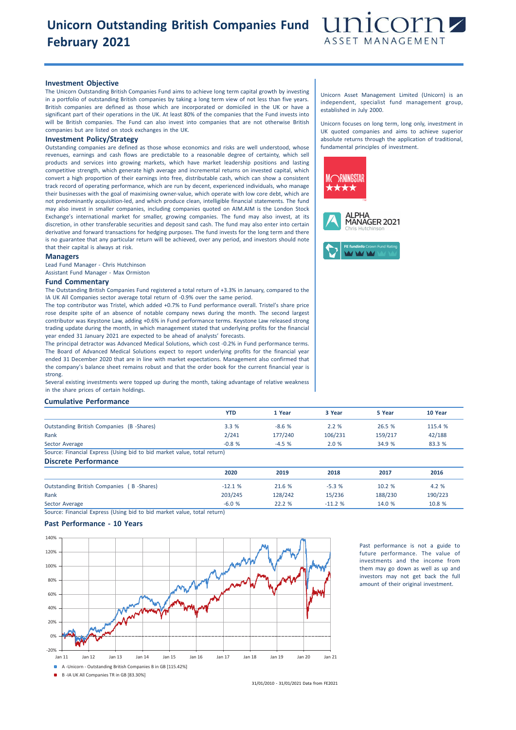## **Unicorn Outstanding British Companies Fund February 2021**



### **Investment Objective**

The Unicorn Outstanding British Companies Fund aims to achieve long term capital growth by investing in a portfolio of outstanding British companies by taking a long term view of not less than five years. British companies are defined as those which are incorporated or domiciled in the UK or have a significant part of their operations in the UK. At least 80% of the companies that the Fund invests into will be British companies. The Fund can also invest into companies that are not otherwise British companies but are listed on stock exchanges in the UK.

## **Investment Policy/Strategy**

Outstanding companies are defined as those whose economics and risks are well understood, whose revenues, earnings and cash flows are predictable to a reasonable degree of certainty, which sell products and services into growing markets, which have market leadership positions and lasting competitive strength, which generate high average and incremental returns on invested capital, which convert a high proportion of their earnings into free, distributable cash, which can show a consistent track record of operating performance, which are run by decent, experienced individuals, who manage their businesses with the goal of maximising owner-value, which operate with low core debt, which are not predominantly acquisition-led, and which produce clean, intelligible financial statements. The fund may also invest in smaller companies, including companies quoted on AIM.AIM is the London Stock Exchange's international market for smaller, growing companies. The fund may also invest, at its discretion, in other transferable securities and deposit sand cash. The fund may also enter into certain derivative and forward transactions for hedging purposes. The fund invests for the long term and there is no guarantee that any particular return will be achieved, over any period, and investors should note that their capital is always at risk.

#### **Managers**

Lead Fund Manager - Chris Hutchinson Assistant Fund Manager - Max Ormiston

#### **Fund Commentary**

The Outstanding British Companies Fund registered a total return of +3.3% in January, compared to the IA UK All Companies sector average total return of -0.9% over the same period.

The top contributor was Tristel, which added +0.7% to Fund performance overall. Tristel's share price rose despite spite of an absence of notable company news during the month. The second largest contributor was Keystone Law, adding +0.6% in Fund performance terms. Keystone Law released strong trading update during the month, in which management stated that underlying profits for the financial year ended 31 January 2021 are expected to be ahead of analysts' forecasts.

The principal detractor was Advanced Medical Solutions, which cost -0.2% in Fund performance terms. The Board of Advanced Medical Solutions expect to report underlying profits for the financial year ended 31 December 2020 that are in line with market expectations. Management also confirmed that the company's balance sheet remains robust and that the order book for the current financial year is strong.

Several existing investments were topped up during the month, taking advantage of relative weakness in the share prices of certain holdings.

## **Cumulative Performance**

|                                                                         | <b>YTD</b> | 1 Year  | 3 Year  | 5 Year  | 10 Year |
|-------------------------------------------------------------------------|------------|---------|---------|---------|---------|
| Outstanding British Companies (B-Shares)                                | 3.3%       | $-8.6%$ | 2.2%    | 26.5 %  | 115.4 % |
| Rank                                                                    | 2/241      | 177/240 | 106/231 | 159/217 | 42/188  |
| Sector Average                                                          | $-0.8%$    | $-4.5%$ | 2.0%    | 34.9 %  | 83.3 %  |
| Source: Financial Express (Using bid to bid market value, total return) |            |         |         |         |         |
| <b>Discrete Performance</b>                                             |            |         |         |         |         |
|                                                                         | 2020       | 2019    | 2018    | 2017    | 2016    |

Outstanding British Companies ( B -Shares) -12.1 % 21.6 % -5.3 % 10.2 % 4.2 %

Rank 203/245 128/242 15/236 188/230 190/223 Sector Average -6.0 % 22.2 % -11.2 % 14.0 % 10.8 %

Source: Financial Express (Using bid to bid market value, total return)

## **Past Performance - 10 Years**



Past performance is not a guide to future performance. The value of investments and the income from them may go down as well as up and investors may not get back the full amount of their original investment.

Unicorn Asset Management Limited (Unicorn) is an independent, specialist fund management group, established in July 2000.

Unicorn focuses on long term, long only, investment in UK quoted companies and aims to achieve superior absolute returns through the application of traditional, fundamental principles of investment.



B -IA UK All Companies TR in GB [83.30%]

31/01/2010 - 31/01/2021 Data from FE2021